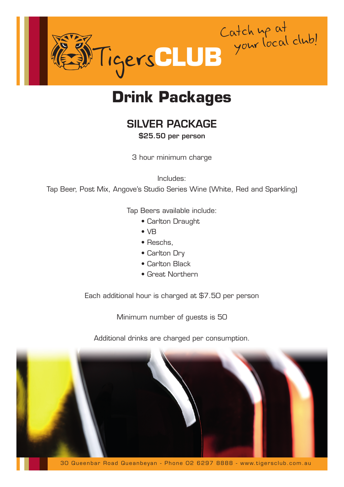

## **Drink Packages**

#### SILVER PACKAGE

\$25.50 per person

3 hour minimum charge

Includes:

Tap Beer, Post Mix, Angove's Studio Series Wine (White, Red and Sparkling)

Tap Beers available include:

- Carlton Draught
- VB
- Reschs,
- Carlton Dry
- Carlton Black
- Great Northern

Each additional hour is charged at \$7.50 per person

Minimum number of guests is 50

Additional drinks are charged per consumption.

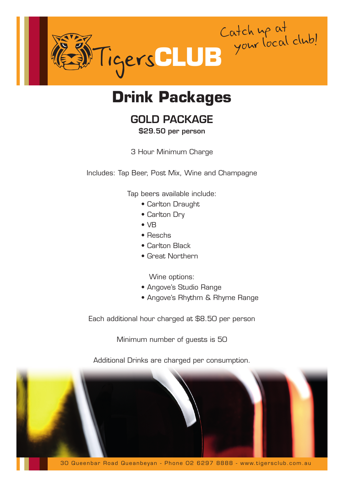

# **Drink Packages**

#### GOLD PACKAGE

#### \$29.50 per person

3 Hour Minimum Charge

Includes: Tap Beer, Post Mix, Wine and Champagne

Tap beers available include:

- Carlton Draught
- Carlton Dry
- VB
- Reschs
- Carlton Black
- Great Northern

Wine options:

- Angove's Studio Range
- Angove's Rhythm & Rhyme Range

Each additional hour charged at \$8.50 per person

Minimum number of guests is 50

Additional Drinks are charged per consumption.



30 Queenbar Road Queanbeyan - Phone 02 6297 8888 - www.tigersclub .com .au